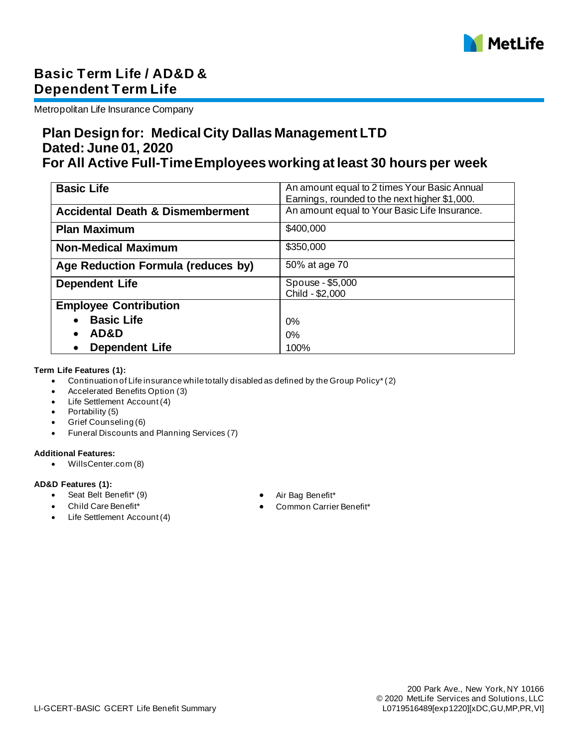

# **Basic Term Life / AD&D & Dependent Term Life**

Metropolitan Life Insurance Company

## **Plan Design for: Medical City Dallas Management LTD Dated: June 01, 2020 For All Active Full-Time Employees working at least 30 hours per week**

| <b>Basic Life</b>                           | An amount equal to 2 times Your Basic Annual  |
|---------------------------------------------|-----------------------------------------------|
|                                             | Earnings, rounded to the next higher \$1,000. |
|                                             |                                               |
| <b>Accidental Death &amp; Dismemberment</b> | An amount equal to Your Basic Life Insurance. |
|                                             |                                               |
| <b>Plan Maximum</b>                         | \$400,000                                     |
|                                             |                                               |
| <b>Non-Medical Maximum</b>                  | \$350,000                                     |
|                                             |                                               |
| Age Reduction Formula (reduces by)          | 50% at age 70                                 |
|                                             |                                               |
| <b>Dependent Life</b>                       | Spouse - \$5,000                              |
|                                             | Child - \$2,000                               |
|                                             |                                               |
| <b>Employee Contribution</b>                |                                               |
| <b>Basic Life</b>                           |                                               |
|                                             | 0%                                            |
| AD&D                                        | $0\%$                                         |
|                                             |                                               |
| <b>Dependent Life</b>                       | 100%                                          |

#### **Term Life Features (1):**

- Continuation of Life insurance while totally disabled as defined by the Group Policy\* (2)
- Accelerated Benefits Option (3)
- Life Settlement Account (4)
- Portability (5)
- Grief Counseling (6)
- Funeral Discounts and Planning Services (7)

#### **Additional Features:**

• WillsCenter.com (8)

#### **AD&D Features (1):**

- Seat Belt Benefit\* (9) Air Bag Benefit\*
- 
- Life Settlement Account (4)
- 
- Child Care Benefit\* Common Carrier Benefit\*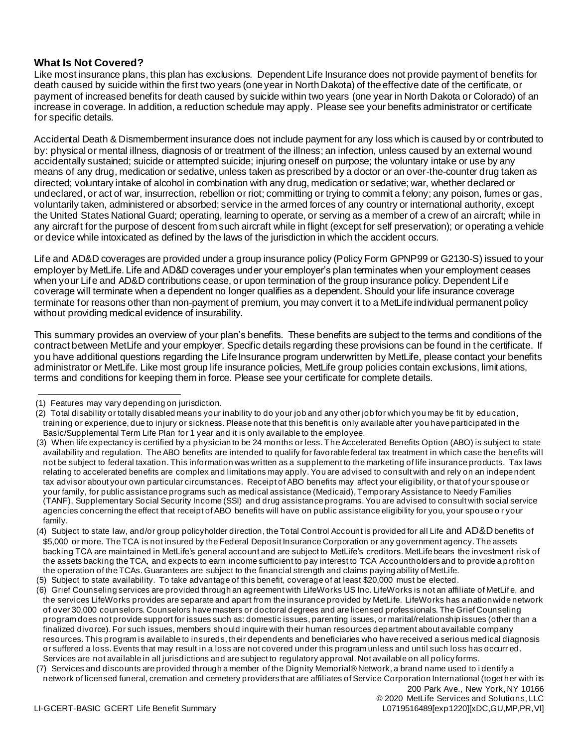### **What Is Not Covered?**

Like most insurance plans, this plan has exclusions. Dependent Life Insurance does not provide payment of benefits for death caused by suicide within the first two years (one year in North Dakota) of the effective date of the certificate, or payment of increased benefits for death caused by suicide within two years (one year in North Dakota or Colorado) of an increase in coverage. In addition, a reduction schedule may apply. Please see your benefits administrator or certificate for specific details.

Accidental Death & Dismemberment insurance does not include payment for any loss which is caused by or contributed to by: physical or mental illness, diagnosis of or treatment of the illness; an infection, unless caused by an external wound accidentally sustained; suicide or attempted suicide; injuring oneself on purpose; the voluntary intake or use by any means of any drug, medication or sedative, unless taken as prescribed by a doctor or an over-the-counter drug taken as directed; voluntary intake of alcohol in combination with any drug, medication or sedative; war, whether declared or undeclared, or act of war, insurrection, rebellion or riot; committing or trying to commit a felony; any poison, fumes or gas, voluntarily taken, administered or absorbed; service in the armed forces of any country or international authority, except the United States National Guard; operating, learning to operate, or serving as a member of a crew of an aircraft; while in any aircraft for the purpose of descent from such aircraft while in flight (except for self preservation); or operating a vehicle or device while intoxicated as defined by the laws of the jurisdiction in which the accident occurs.

Life and AD&D coverages are provided under a group insurance policy (Policy Form GPNP99 or G2130-S) issued to your employer by MetLife. Life and AD&D coverages under your employer's plan terminates when your employment ceases when your Life and AD&D contributions cease, or upon termination of the group insurance policy. Dependent Life coverage will terminate when a dependent no longer qualifies as a dependent. Should your life insurance coverage terminate for reasons other than non-payment of premium, you may convert it to a MetLife individual permanent policy without providing medical evidence of insurability.

This summary provides an overview of your plan's benefits. These benefits are subject to the terms and conditions of the contract between MetLife and your employer. Specific details regarding these provisions can be found in the certificate. If you have additional questions regarding the Life Insurance program underwritten by MetLife, please contact your benefits administrator or MetLife. Like most group life insurance policies, MetLife group policies contain exclusions, limitations, terms and conditions for keeping them in force. Please see your certificate for complete details.

<sup>(1)</sup> Features may vary depending on jurisdiction.

<sup>(2)</sup> Total disability or totally disabled means your inability to do your job and any other job for which you may be fit by education, training or experience, due to injury or sickness. Please note that this benefit is only available after you have participated in the Basic/Supplemental Term Life Plan for 1 year and it is only available to the employee.

<sup>(3)</sup> When life expectancy is certified by a physician to be 24 months or less. The Accelerated Benefits Option (ABO) is subject to state availability and regulation. The ABO benefits are intended to qualify for favorable federal tax treatment in which case the benefits will not be subject to federal taxation. This information was written as a supplement to the marketing of life insurance products. Tax laws relating to accelerated benefits are complex and limitations may apply. You are advised to consult with and rely on an indepe ndent tax advisor about your own particular circumstances. Receipt of ABO benefits may affect your eligibility, or that of your spouse or your family, for public assistance programs such as medical assistance (Medicaid), Temporary Assistance to Needy Families (TANF), Supplementary Social Security Income (SSI) and drug assistance programs. You are advised to consult with social service agencies concerning the effect that receipt of ABO benefits will have on public assistance eligibility for you, your spouse o r your family.

<sup>(4)</sup> Subject to state law, and/or group policyholder direction, the Total Control Account is provided for all Life and  $AD&D$  benefits of \$5,000 or more. The TCA is not insured by the Federal Deposit Insurance Corporation or any government agency. The assets backing TCA are maintained in MetLife's general account and are subject to MetLife's creditors. MetLife bears the investment risk of the assets backing the TCA, and expects to earn income sufficient to pay interest to TCA Accountholders and to provide a profit on the operation of the TCAs. Guarantees are subject to the financial strength and claims paying ability of MetLife.

<sup>(5)</sup> Subject to state availability. To take advantage of this benefit, coverage of at least \$20,000 must be elected.

<sup>(6)</sup> Grief Counseling services are provided through an agreement with LifeWorks US Inc. LifeWorks is not an affiliate of MetLife, and the services LifeWorks provides are separate and apart from the insurance provided by MetLife. LifeWorks has a nationwide network of over 30,000 counselors. Counselors have masters or doctoral degrees and are licensed professionals. The Grief Counseling program does not provide support for issues such as: domestic issues, parenting issues, or marital/relationship issues (other than a finalized divorce). For such issues, members should inquire with their human resources department about available company resources. This program is available to insureds, their dependents and beneficiaries who have received a serious medical diagnosis or suffered a loss. Events that may result in a loss are not covered under this program unless and until such loss has occurr ed. Services are not available in all jurisdictions and are subject to regulatory approval. Not available on all policy forms.

<sup>(7)</sup> Services and discounts are provided through a member of the Dignity Memorial® Network, a brand name used to i dentify a network of licensed funeral, cremation and cemetery providers that are affiliates of Service Corporation International (together with its